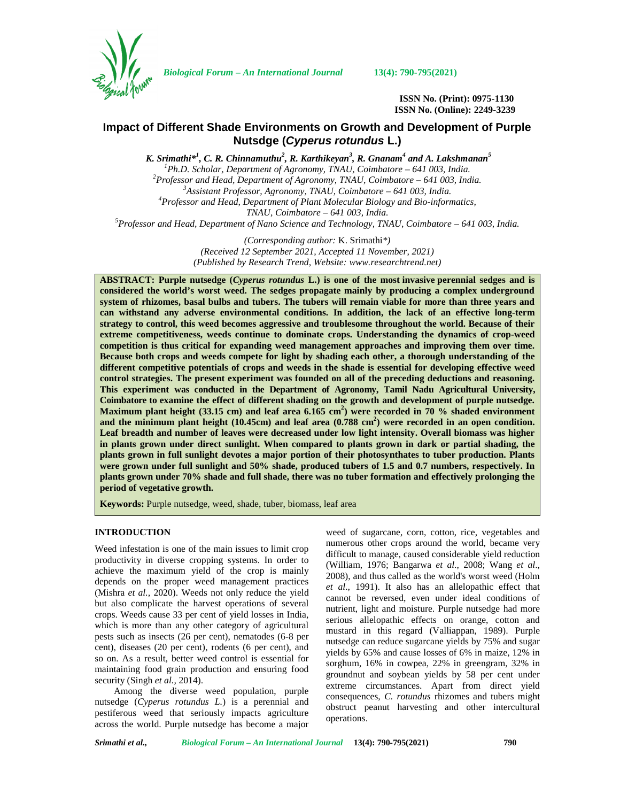

*Biological Forum – An International Journal* **13(4): 790-795(2021)**

**ISSN No. (Print): 0975-1130 ISSN No. (Online): 2249-3239**

# **Impact of Different Shade Environments on Growth and Development of Purple Nutsdge (***Cyperus rotundus* **L.)**

*K. Srimathi\*<sup>1</sup> , C. R. Chinnamuthu<sup>2</sup> , R. Karthikeyan<sup>3</sup> , R. Gnanam<sup>4</sup> and A. Lakshmanan<sup>5</sup>*  ${}^{1}$ Ph.D. Scholar, Department of Agronomy, TNAU, Coimbatore - 641 003, India.<br>  ${}^{2}$ Professor and Head, Department of Agronomy, TNAU, Coimbatore - 641 003, India.<br>  ${}^{3}$ Assistant Professor, Agronomy, TNAU, Coimbatore *TNAU, Coimbatore – 641 003, India. <sup>5</sup>Professor and Head, Department of Nano Science and Technology, TNAU, Coimbatore – 641 003, India.*

> *(Corresponding author:* K. Srimathi*\*) (Received 12 September 2021, Accepted 11 November, 2021) (Published by Research Trend, Website: [www.researchtrend.net\)](www.researchtrend.net)*

**ABSTRACT: Purple nutsedge (***Cyperus rotundus* **L.) is one of the most invasive perennial sedges and is considered the world's worst weed. The sedges propagate mainly by producing a complex underground system of rhizomes, basal bulbs and tubers. The tubers will remain viable for more than three years and can withstand any adverse environmental conditions. In addition, the lack of an effective long-term strategy to control, this weed becomes aggressive and troublesome throughout the world. Because of their extreme competitiveness, weeds continue to dominate crops. Understanding the dynamics of crop-weed competition is thus critical for expanding weed management approaches and improving them over time. Because both crops and weeds compete for light by shading each other, a thorough understanding of the different competitive potentials of crops and weeds in the shade is essential for developing effective weed control strategies. The present experiment was founded on all of the preceding deductions and reasoning. This experiment was conducted in the Department of Agronomy, Tamil Nadu Agricultural University, Coimbatore to examine the effect of different shading on the growth and development of purple nutsedge. Maximum plant height (33.15 cm) and leaf area 6.165 cm<sup>2</sup>) were recorded in 70 % shaded environment and the minimum plant height (10.45cm) and leaf area (0.788 cm<sup>2</sup>) were recorded in an open condition. Leaf breadth and number of leaves were decreased under low light intensity. Overall biomass was higher in plants grown under direct sunlight. When compared to plants grown in dark or partial shading, the plants grown in full sunlight devotes a major portion of their photosynthates to tuber production. Plants were grown under full sunlight and 50% shade, produced tubers of 1.5 and 0.7 numbers, respectively. In plants grown under 70% shade and full shade, there was no tuber formation and effectively prolonging the period of vegetative growth.**

**Keywords:** Purple nutsedge, weed, shade, tuber, biomass, leaf area

## **INTRODUCTION**

Weed infestation is one of the main issues to limit crop productivity in diverse cropping systems. In order to achieve the maximum yield of the crop is mainly depends on the proper weed management practices (Mishra *et al.,* 2020). Weeds not only reduce the yield but also complicate the harvest operations of several crops. Weeds cause 33 per cent of yield losses in India, which is more than any other category of agricultural pests such as insects (26 per cent), nematodes (6-8 per cent), diseases (20 per cent), rodents (6 per cent), and so on. As a result, better weed control is essential for maintaining food grain production and ensuring food security (Singh *et al.,* 2014).

Among the diverse weed population, purple nutsedge (*Cyperus rotundus L.*) is a perennial and pestiferous weed that seriously impacts agriculture across the world. Purple nutsedge has become a major

weed of sugarcane, corn, cotton, rice, vegetables and numerous other crops around the world, became very difficult to manage, caused considerable yield reduction (William, 1976; Bangarwa *et al*., 2008; Wang *et al*., 2008), and thus called as the world's worst weed (Holm *et al*., 1991). It also has an allelopathic effect that cannot be reversed, even under ideal conditions of nutrient, light and moisture. Purple nutsedge had more serious allelopathic effects on orange, cotton and mustard in this regard (Valliappan, 1989). Purple nutsedge can reduce sugarcane yields by 75% and sugar yields by 65% and cause losses of 6% in maize, 12% in sorghum, 16% in cowpea, 22% in greengram, 32% in groundnut and soybean yields by 58 per cent under extreme circumstances. Apart from direct yield consequences, *C. rotundus* rhizomes and tubers might obstruct peanut harvesting and other intercultural operations.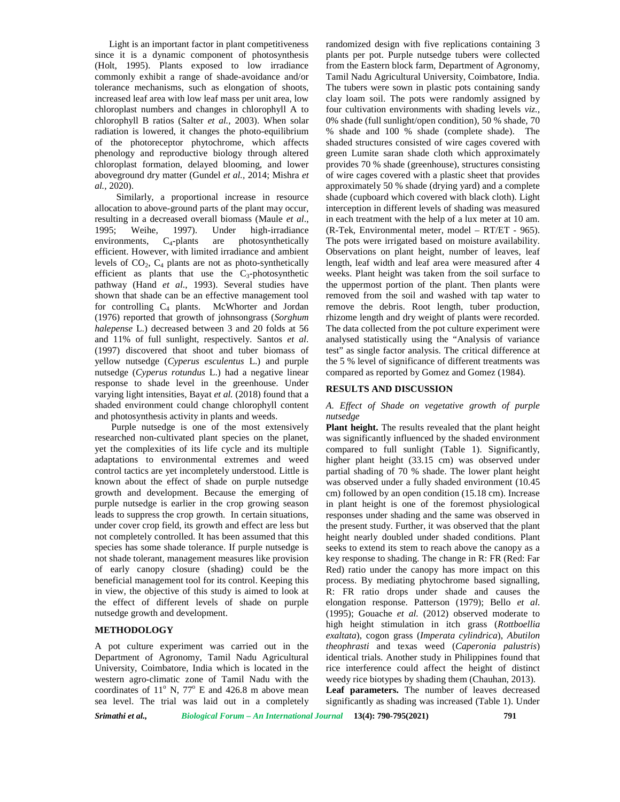Light is an important factor in plant competitiveness since it is a dynamic component of photosynthesis (Holt, 1995). Plants exposed to low irradiance commonly exhibit a range of shade-avoidance and/or tolerance mechanisms, such as elongation of shoots, increased leaf area with low leaf mass per unit area, low chloroplast numbers and changes in chlorophyll A to chlorophyll B ratios (Salter *et al.,* 2003). When solar radiation is lowered, it changes the photo-equilibrium of the photoreceptor phytochrome, which affects phenology and reproductive biology through altered chloroplast formation, delayed blooming, and lower aboveground dry matter (Gundel *et al.,* 2014; Mishra *et al.,* 2020).

Similarly, a proportional increase in resource allocation to above-ground parts of the plant may occur, resulting in a decreased overall biomass (Maule *et al*., 1995; Weihe, 1997). Under high-irradiance environments,  $C_4$ -plants are photosynthetically efficient. However, with limited irradiance and ambient levels of  $CO<sub>2</sub>$ ,  $C<sub>4</sub>$  plants are not as photo-synthetically efficient as plants that use the  $C_3$ -photosynthetic pathway (Hand *et al*., 1993). Several studies have shown that shade can be an effective management tool for controlling  $C_4$  plants. McWhorter and Jordan (1976) reported that growth of johnsongrass (*Sorghum halepense* L.) decreased between 3 and 20 folds at 56 and 11% of full sunlight, respectively. Santos *et al*. (1997) discovered that shoot and tuber biomass of yellow nutsedge (*Cyperus esculentus* L.) and purple nutsedge (*Cyperus rotundus* L.) had a negative linear response to shade level in the greenhouse. Under varying light intensities, Bayat *et al.* (2018) found that a shaded environment could change chlorophyll content and photosynthesis activity in plants and weeds.

Purple nutsedge is one of the most extensively researched non-cultivated plant species on the planet, yet the complexities of its life cycle and its multiple adaptations to environmental extremes and weed control tactics are yet incompletely understood. Little is known about the effect of shade on purple nutsedge growth and development. Because the emerging of purple nutsedge is earlier in the crop growing season leads to suppress the crop growth. In certain situations, under cover crop field, its growth and effect are less but not completely controlled. It has been assumed that this species has some shade tolerance. If purple nutsedge is not shade tolerant, management measures like provision of early canopy closure (shading) could be the beneficial management tool for its control. Keeping this in view, the objective of this study is aimed to look at the effect of different levels of shade on purple nutsedge growth and development.

## **METHODOLOGY**

A pot culture experiment was carried out in the Department of Agronomy, Tamil Nadu Agricultural University, Coimbatore, India which is located in the western agro-climatic zone of Tamil Nadu with the coordinates of  $11^{\circ}$  N,  $77^{\circ}$  E and 426.8 m above mean sea level. The trial was laid out in a completely

randomized design with five replications containing 3 plants per pot. Purple nutsedge tubers were collected from the Eastern block farm, Department of Agronomy, Tamil Nadu Agricultural University, Coimbatore, India. The tubers were sown in plastic pots containing sandy clay loam soil. The pots were randomly assigned by four cultivation environments with shading levels *viz.,* 0% shade (full sunlight/open condition), 50 % shade, 70 % shade and 100 % shade (complete shade). The shaded structures consisted of wire cages covered with green Lumite saran shade cloth which approximately provides 70 % shade (greenhouse), structures consisting of wire cages covered with a plastic sheet that provides approximately 50 % shade (drying yard) and a complete shade (cupboard which covered with black cloth). Light interception in different levels of shading was measured in each treatment with the help of a lux meter at 10 am. (R-Tek, Environmental meter, model – RT/ET - 965). The pots were irrigated based on moisture availability. Observations on plant height, number of leaves, leaf length, leaf width and leaf area were measured after 4 weeks. Plant height was taken from the soil surface to the uppermost portion of the plant. Then plants were removed from the soil and washed with tap water to remove the debris. Root length, tuber production, rhizome length and dry weight of plants were recorded. The data collected from the pot culture experiment were analysed statistically using the "Analysis of variance test" as single factor analysis. The critical difference at the 5 % level of significance of different treatments was compared as reported by Gomez and Gomez (1984).

#### **RESULTS AND DISCUSSION**

#### *A. Effect of Shade on vegetative growth of purple nutsedge*

**Plant height.** The results revealed that the plant height was significantly influenced by the shaded environment compared to full sunlight (Table 1). Significantly, higher plant height (33.15 cm) was observed under partial shading of 70 % shade. The lower plant height was observed under a fully shaded environment (10.45 cm) followed by an open condition (15.18 cm). Increase in plant height is one of the foremost physiological responses under shading and the same was observed in the present study. Further, it was observed that the plant height nearly doubled under shaded conditions. Plant seeks to extend its stem to reach above the canopy as a key response to shading. The change in R: FR (Red: Far Red) ratio under the canopy has more impact on this process. By mediating phytochrome based signalling, R: FR ratio drops under shade and causes the elongation response. Patterson (1979); Bello *et al*. (1995); Gouache *et al.* (2012) observed moderate to high height stimulation in itch grass (*Rottboellia exaltata*), cogon grass (*Imperata cylindrica*), *Abutilon theophrasti* and texas weed (*Caperonia palustris*) identical trials. Another study in Philippines found that rice interference could affect the height of distinct weedy rice biotypes by shading them (Chauhan, 2013). **Leaf parameters.** The number of leaves decreased significantly as shading was increased (Table 1). Under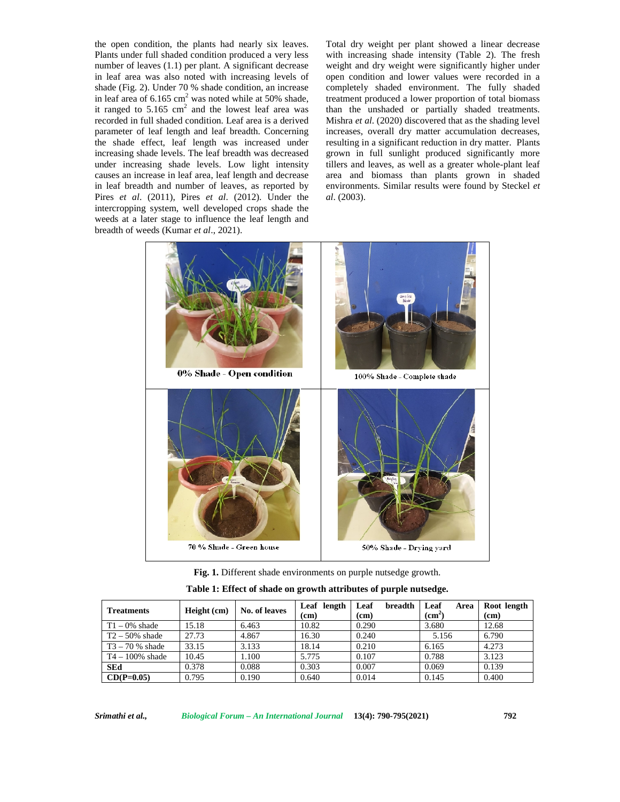the open condition, the plants had nearly six leaves. Plants under full shaded condition produced a very less number of leaves (1.1) per plant. A significant decrease in leaf area was also noted with increasing levels of shade (Fig. 2). Under 70 % shade condition, an increase in leaf area of  $6.165 \text{ cm}^2$  was noted while at 50% shade, it ranged to  $5.165$  cm<sup>2</sup> and the lowest leaf area was recorded in full shaded condition. Leaf area is a derived parameter of leaf length and leaf breadth. Concerning the shade effect, leaf length was increased under increasing shade levels. The leaf breadth was decreased under increasing shade levels. Low light intensity causes an increase in leaf area, leaf length and decrease in leaf breadth and number of leaves, as reported by Pires *et al*. (2011), Pires *et al*. (2012). Under the intercropping system, well developed crops shade the weeds at a later stage to influence the leaf length and breadth of weeds (Kumar *et al*., 2021).

Total dry weight per plant showed a linear decrease with increasing shade intensity (Table 2). The fresh weight and dry weight were significantly higher under open condition and lower values were recorded in a completely shaded environment. The fully shaded treatment produced a lower proportion of total biomass than the unshaded or partially shaded treatments. Mishra *et al*. (2020) discovered that as the shading level increases, overall dry matter accumulation decreases, resulting in a significant reduction in dry matter. Plants grown in full sunlight produced significantly more tillers and leaves, as well as a greater whole-plant leaf area and biomass than plants grown in shaded environments. Similar results were found by Steckel *et al*. (2003).



**Fig. 1.** Different shade environments on purple nutsedge growth.

| Table 1: Effect of shade on growth attributes of purple nutsedge. |  |
|-------------------------------------------------------------------|--|
|-------------------------------------------------------------------|--|

| <b>Treatments</b>  | Height (cm) | No. of leaves | Leaf length | Leaf<br>breadth   | Leaf<br>Area  | Root length       |
|--------------------|-------------|---------------|-------------|-------------------|---------------|-------------------|
|                    |             |               | (cm)        | (c <sub>m</sub> ) | $\text{cm}^2$ | (c <sub>m</sub> ) |
| $T1 - 0\%$ shade   | 15.18       | 6.463         | 10.82       | 0.290             | 3.680         | 12.68             |
| $T2 - 50\%$ shade  | 27.73       | 4.867         | 16.30       | 0.240             | 5.156         | 6.790             |
| $T3 - 70$ % shade  | 33.15       | 3.133         | 18.14       | 0.210             | 6.165         | 4.273             |
| $T4 - 100\%$ shade | 10.45       | .100          | 5.775       | 0.107             | 0.788         | 3.123             |
| <b>SEd</b>         | 0.378       | 0.088         | 0.303       | 0.007             | 0.069         | 0.139             |
| $CD(P=0.05)$       | 0.795       | 0.190         | 0.640       | 0.014             | 0.145         | 0.400             |

*Srimathi et al., Biological Forum – An International Journal* **13(4): 790-795(2021) 792**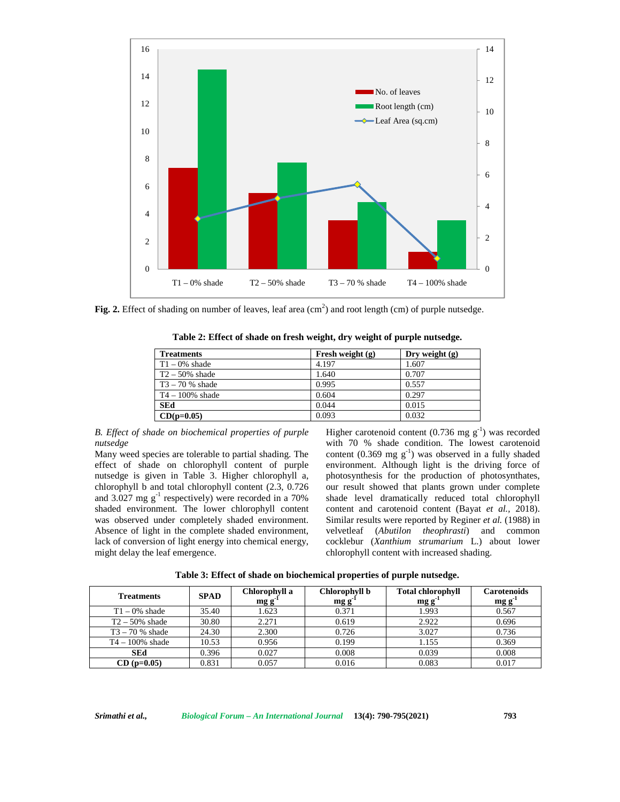

Fig. 2. Effect of shading on number of leaves, leaf area (cm<sup>2</sup>) and root length (cm) of purple nutsedge.

| Table 2: Effect of shade on fresh weight, dry weight of purple nutsedge. |  |
|--------------------------------------------------------------------------|--|
|--------------------------------------------------------------------------|--|

| <b>Treatments</b>  | Fresh weight $(g)$ | Dry weight $(g)$ |
|--------------------|--------------------|------------------|
| $T1 - 0\%$ shade   | 4.197              | 1.607            |
| $T2 - 50\%$ shade  | 1.640              | 0.707            |
| $T3 - 70$ % shade  | 0.995              | 0.557            |
| $T4 - 100\%$ shade | 0.604              | 0.297            |
| <b>SEd</b>         | 0.044              | 0.015            |
| $CD(p=0.05)$       | 0.093              | 0.032            |

*B. Effect of shade on biochemical properties of purple nutsedge*

Many weed species are tolerable to partial shading. The effect of shade on chlorophyll content of purple nutsedge is given in Table 3. Higher chlorophyll a, chlorophyll b and total chlorophyll content (2.3, 0.726 and 3.027 mg  $g^{-1}$  respectively) were recorded in a 70% shaded environment. The lower chlorophyll content was observed under completely shaded environment. Absence of light in the complete shaded environment, velvetleaf lack of conversion of light energy into chemical energy, might delay the leaf emergence.

Higher carotenoid content (0.736 mg  $g^{-1}$ ) was recorded with 70 % shade condition. The lowest carotenoid content (0.369 mg  $g^{-1}$ ) was observed in a fully shaded environment. Although light is the driving force of photosynthesis for the production of photosynthates, our result showed that plants grown under complete shade level dramatically reduced total chlorophyll content and carotenoid content (Bayat *et al.,* 2018). Similar results were reported by Reginer *et al.* (1988) in (*Abutilon theophrasti*) and common cocklebur (*Xanthium strumarium* L.) about lower chlorophyll content with increased shading.

| <b>Treatments</b>  | <b>SPAD</b> | Chlorophyll a<br>mgg | Chlorophyll b<br>mgg' | <b>Total chlorophyll</b><br>$mg g^2$ | <b>Carotenoids</b><br>$mg g^{-1}$ |
|--------------------|-------------|----------------------|-----------------------|--------------------------------------|-----------------------------------|
| $T1 - 0\%$ shade   | 35.40       | 1.623                | 0.371                 | 1.993                                | 0.567                             |
| $T2 - 50\%$ shade  | 30.80       | 2.271                | 0.619                 | 2.922                                | 0.696                             |
| $T3 - 70$ % shade  | 24.30       | 2.300                | 0.726                 | 3.027                                | 0.736                             |
| $T4 - 100\%$ shade | 10.53       | 0.956                | 0.199                 | 1.155                                | 0.369                             |
| <b>SEd</b>         | 0.396       | 0.027                | 0.008                 | 0.039                                | 0.008                             |
| $CD (p=0.05)$      | 0.831       | 0.057                | 0.016                 | 0.083                                | 0.017                             |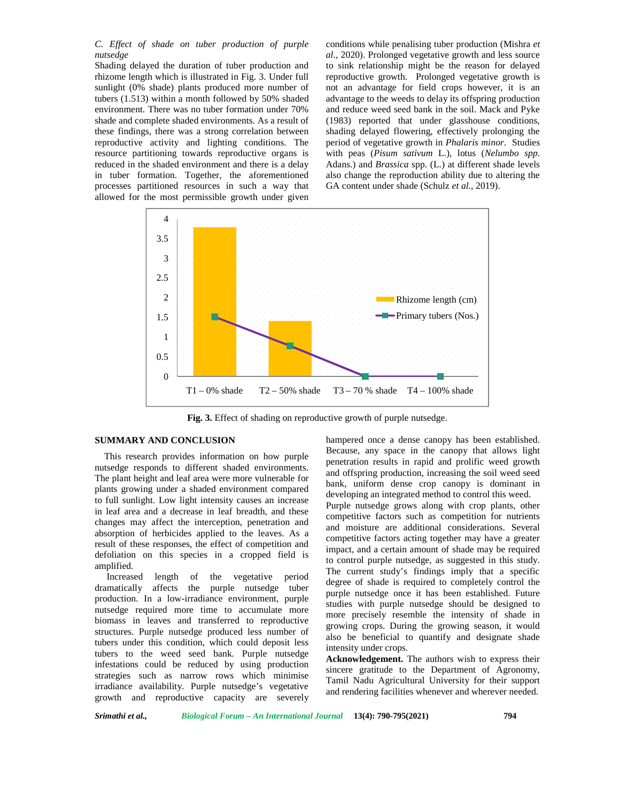*C. Effect of shade on tuber production of purple nutsedge*

Shading delayed the duration of tuber production and rhizome length which is illustrated in Fig. 3. Under full sunlight (0% shade) plants produced more number of tubers (1.513) within a month followed by 50% shaded environment. There was no tuber formation under 70% shade and complete shaded environments. As a result of these findings, there was a strong correlation between reproductive activity and lighting conditions. The resource partitioning towards reproductive organs is reduced in the shaded environment and there is a delay in tuber formation. Together, the aforementioned processes partitioned resources in such a way that allowed for the most permissible growth under given conditions while penalising tuber production (Mishra *et al*., 2020). Prolonged vegetative growth and less source to sink relationship might be the reason for delayed reproductive growth. Prolonged vegetative growth is not an advantage for field crops however, it is an advantage to the weeds to delay its offspring production and reduce weed seed bank in the soil. Mack and Pyke (1983) reported that under glasshouse conditions, shading delayed flowering, effectively prolonging the period of vegetative growth in *Phalaris minor*. Studies with peas (*Pisum sativum* L.), lotus (*Nelumbo spp*. Adans.) and *Brassica* spp. (L.) at different shade levels also change the reproduction ability due to altering the GA content under shade (Schulz *et al.,* 2019).



**Fig. 3.** Effect of shading on reproductive growth of purple nutsedge.

## **SUMMARY AND CONCLUSION**

This research provides information on how purple nutsedge responds to different shaded environments. The plant height and leaf area were more vulnerable for plants growing under a shaded environment compared to full sunlight. Low light intensity causes an increase in leaf area and a decrease in leaf breadth, and these changes may affect the interception, penetration and absorption of herbicides applied to the leaves. As a result of these responses, the effect of competition and defoliation on this species in a cropped field is amplified.

Increased length of the vegetative period dramatically affects the purple nutsedge tuber production. In a low-irradiance environment, purple nutsedge required more time to accumulate more biomass in leaves and transferred to reproductive structures. Purple nutsedge produced less number of tubers under this condition, which could deposit less tubers to the weed seed bank. Purple nutsedge infestations could be reduced by using production strategies such as narrow rows which minimise irradiance availability. Purple nutsedge's vegetative growth and reproductive capacity are severely hampered once a dense canopy has been established. Because, any space in the canopy that allows light penetration results in rapid and prolific weed growth and offspring production, increasing the soil weed seed bank, uniform dense crop canopy is dominant in developing an integrated method to control this weed. Purple nutsedge grows along with crop plants, other competitive factors such as competition for nutrients and moisture are additional considerations. Several competitive factors acting together may have a greater impact, and a certain amount of shade may be required to control purple nutsedge, as suggested in this study. The current study's findings imply that a specific degree of shade is required to completely control the purple nutsedge once it has been established. Future studies with purple nutsedge should be designed to more precisely resemble the intensity of shade in growing crops. During the growing season, it would also be beneficial to quantify and designate shade intensity under crops.

**Acknowledgement.** The authors wish to express their sincere gratitude to the Department of Agronomy, Tamil Nadu Agricultural University for their support and rendering facilities whenever and wherever needed.

*Srimathi et al., Biological Forum – An International Journal* **13(4): 790-795(2021) 794**